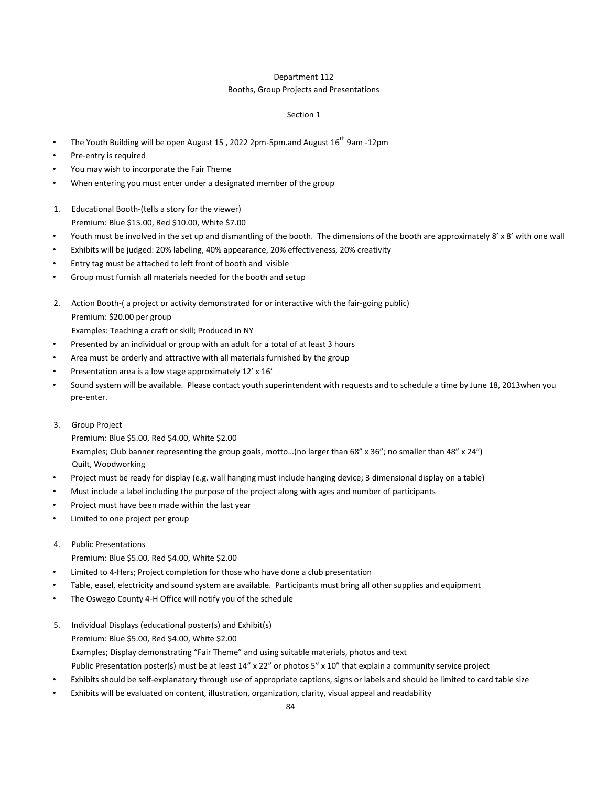## Department 112

## Booths, Group Projects and Presentations

## Section 1

- The Youth Building will be open August 15, 2022 2pm-5pm.and August  $16^{th}$  9am -12pm
- Pre-entry is required
- You may wish to incorporate the Fair Theme
- When entering you must enter under a designated member of the group
- 1. Educational Booth-(tells a story for the viewer) Premium: Blue \$15.00, Red \$10.00, White \$7.00
- Youth must be involved in the set up and dismantling of the booth. The dimensions of the booth are approximately 8' x 8' with one wall
- Exhibits will be judged: 20% labeling, 40% appearance, 20% effectiveness, 20% creativity
- Entry tag must be attached to left front of booth and visible
- Group must furnish all materials needed for the booth and setup
- 2. Action Booth-( a project or activity demonstrated for or interactive with the fair-going public) Premium: \$20.00 per group
	- Examples: Teaching a craft or skill; Produced in NY
- Presented by an individual or group with an adult for a total of at least 3 hours
- Area must be orderly and attractive with all materials furnished by the group
- Presentation area is a low stage approximately 12' x 16'
- Sound system will be available. Please contact youth superintendent with requests and to schedule a time by June 18, 2013when you pre-enter.
- 3. Group Project

Premium: Blue \$5.00, Red \$4.00, White \$2.00 Examples; Club banner representing the group goals, motto…(no larger than 68" x 36"; no smaller than 48" x 24") Quilt, Woodworking

- Project must be ready for display (e.g. wall hanging must include hanging device; 3 dimensional display on a table)
- Must include a label including the purpose of the project along with ages and number of participants
- Project must have been made within the last year
- Limited to one project per group
- 4. Public Presentations
	- Premium: Blue \$5.00, Red \$4.00, White \$2.00
- Limited to 4-Hers; Project completion for those who have done a club presentation
- Table, easel, electricity and sound system are available. Participants must bring all other supplies and equipment
- The Oswego County 4-H Office will notify you of the schedule
- 5. Individual Displays (educational poster(s) and Exhibit(s) Premium: Blue \$5.00, Red \$4.00, White \$2.00 Examples; Display demonstrating "Fair Theme" and using suitable materials, photos and text Public Presentation poster(s) must be at least 14" x 22" or photos 5" x 10" that explain a community service project
- Exhibits should be self-explanatory through use of appropriate captions, signs or labels and should be limited to card table size
- Exhibits will be evaluated on content, illustration, organization, clarity, visual appeal and readability